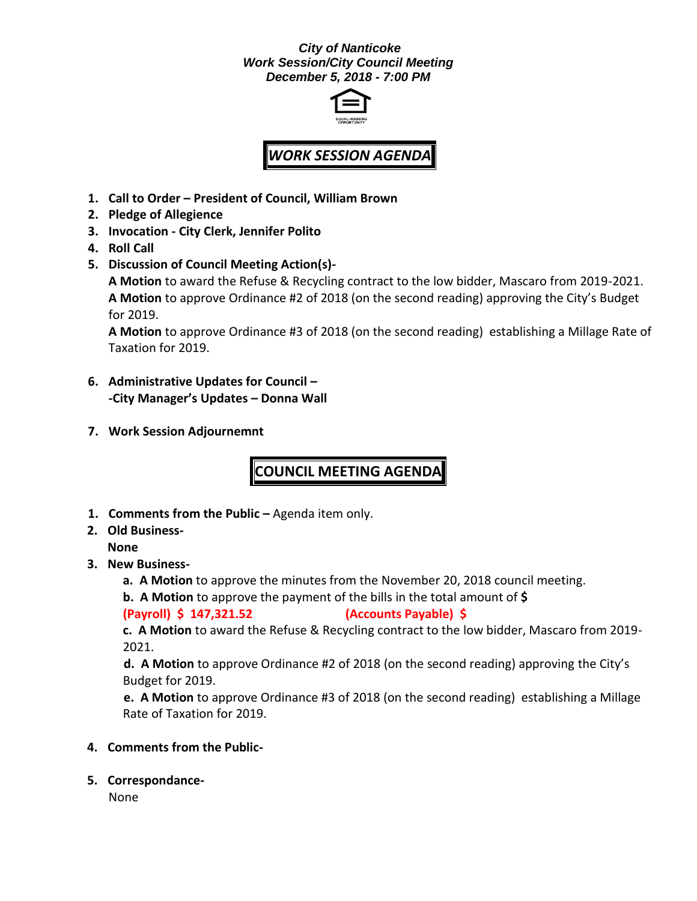## *City of Nanticoke Work Session/City Council Meeting December 5, 2018 - 7:00 PM*



## *WORK SESSION AGENDA*

- **1. Call to Order – President of Council, William Brown**
- **2. Pledge of Allegience**
- **3. Invocation - City Clerk, Jennifer Polito**
- **4. Roll Call**
- **5. Discussion of Council Meeting Action(s)-**

**A Motion** to award the Refuse & Recycling contract to the low bidder, Mascaro from 2019-2021. **A Motion** to approve Ordinance #2 of 2018 (on the second reading) approving the City's Budget for 2019.

**A Motion** to approve Ordinance #3 of 2018 (on the second reading) establishing a Millage Rate of Taxation for 2019.

- **6. Administrative Updates for Council – -City Manager's Updates – Donna Wall**
- **7. Work Session Adjournemnt**

**COUNCIL MEETING AGENDA**

- **1. Comments from the Public –** Agenda item only.
- **2. Old Business-None**
- **3. New Business**
	- **a. A Motion** to approve the minutes from the November 20, 2018 council meeting.
	- **b. A Motion** to approve the payment of the bills in the total amount of **\$**

**(Payroll) \$ 147,321.52 (Accounts Payable) \$**

**c. A Motion** to award the Refuse & Recycling contract to the low bidder, Mascaro from 2019- 2021.

**d. A Motion** to approve Ordinance #2 of 2018 (on the second reading) approving the City's Budget for 2019.

**e. A Motion** to approve Ordinance #3 of 2018 (on the second reading) establishing a Millage Rate of Taxation for 2019.

- **4. Comments from the Public-**
- **5. Correspondance-**

None